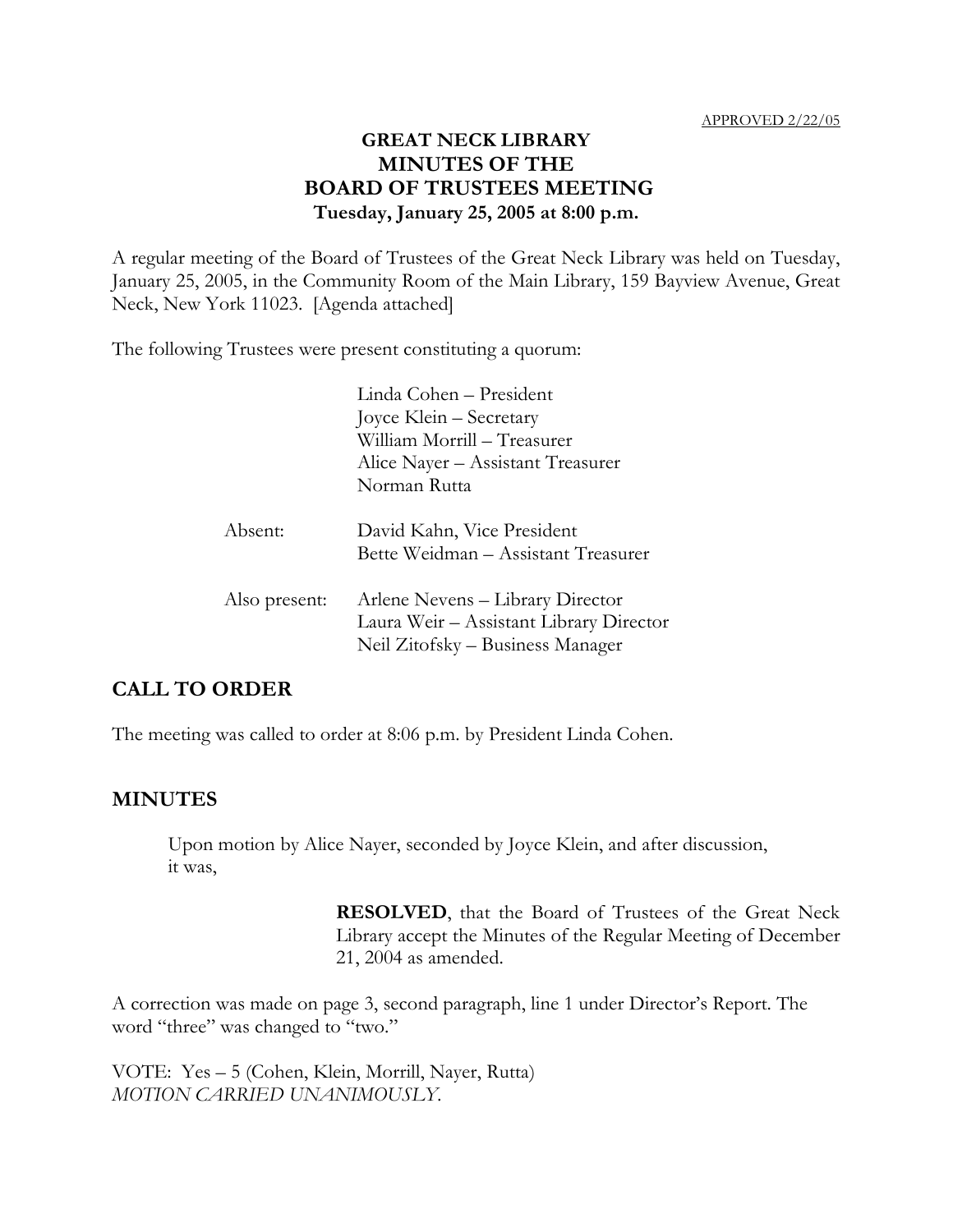## **GREAT NECK LIBRARY MINUTES OF THE BOARD OF TRUSTEES MEETING Tuesday, January 25, 2005 at 8:00 p.m.**

A regular meeting of the Board of Trustees of the Great Neck Library was held on Tuesday, January 25, 2005, in the Community Room of the Main Library, 159 Bayview Avenue, Great Neck, New York 11023. [Agenda attached]

The following Trustees were present constituting a quorum:

|               | Linda Cohen - President                                                                                         |  |  |
|---------------|-----------------------------------------------------------------------------------------------------------------|--|--|
|               | Joyce Klein – Secretary<br>William Morrill - Treasurer                                                          |  |  |
|               |                                                                                                                 |  |  |
|               | Alice Nayer – Assistant Treasurer                                                                               |  |  |
|               | Norman Rutta                                                                                                    |  |  |
| Absent:       | David Kahn, Vice President<br>Bette Weidman – Assistant Treasurer                                               |  |  |
| Also present: | Arlene Nevens – Library Director<br>Laura Weir - Assistant Library Director<br>Neil Zitofsky – Business Manager |  |  |

## **CALL TO ORDER**

The meeting was called to order at 8:06 p.m. by President Linda Cohen.

### **MINUTES**

Upon motion by Alice Nayer, seconded by Joyce Klein, and after discussion, it was,

> **RESOLVED**, that the Board of Trustees of the Great Neck Library accept the Minutes of the Regular Meeting of December 21, 2004 as amended.

A correction was made on page 3, second paragraph, line 1 under Director's Report. The word "three" was changed to "two."

VOTE:Yes – 5 (Cohen, Klein, Morrill, Nayer, Rutta) *MOTION CARRIED UNANIMOUSLY.*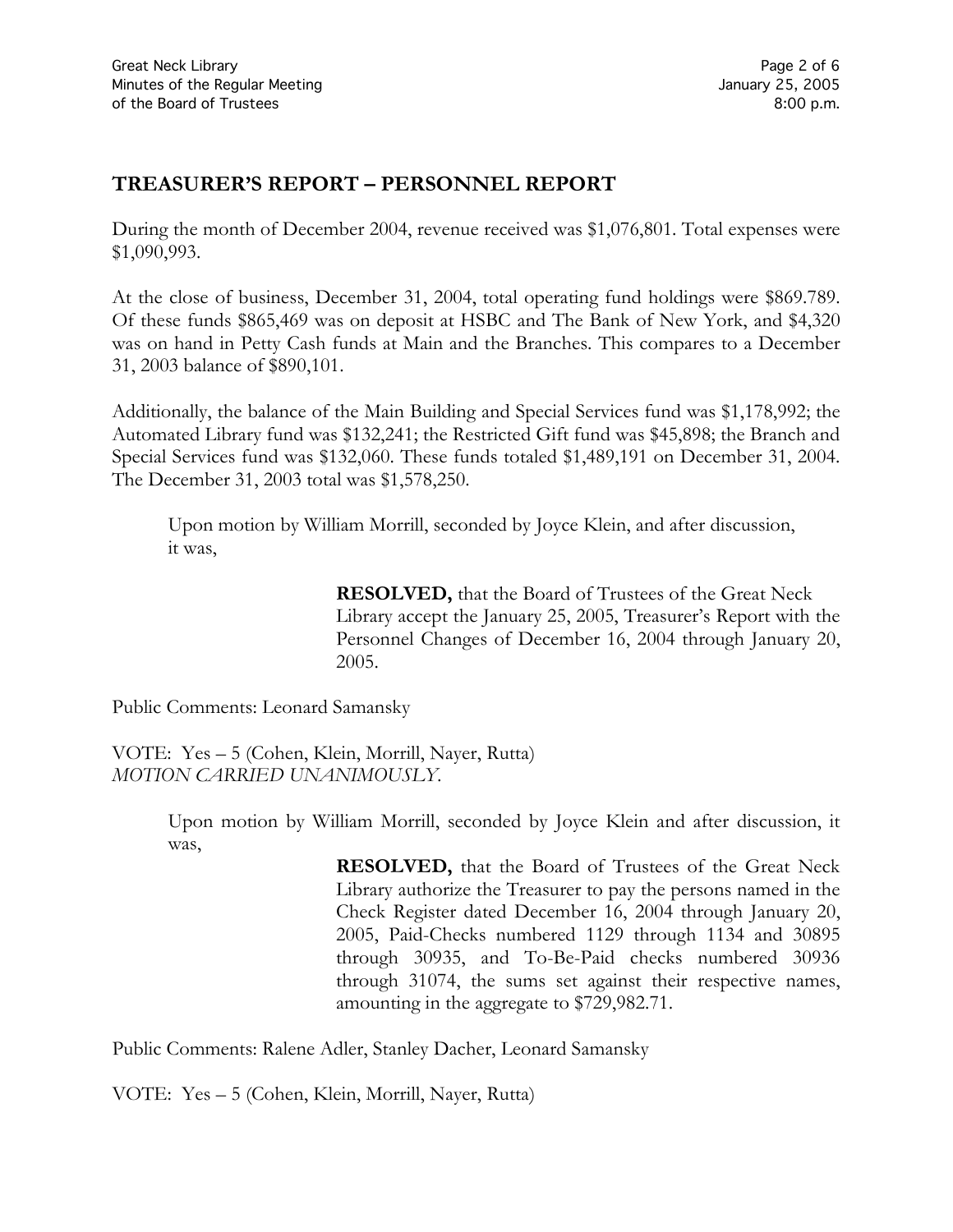# **TREASURER'S REPORT – PERSONNEL REPORT**

During the month of December 2004, revenue received was \$1,076,801. Total expenses were \$1,090,993.

At the close of business, December 31, 2004, total operating fund holdings were \$869.789. Of these funds \$865,469 was on deposit at HSBC and The Bank of New York, and \$4,320 was on hand in Petty Cash funds at Main and the Branches. This compares to a December 31, 2003 balance of \$890,101.

Additionally, the balance of the Main Building and Special Services fund was \$1,178,992; the Automated Library fund was \$132,241; the Restricted Gift fund was \$45,898; the Branch and Special Services fund was \$132,060. These funds totaled \$1,489,191 on December 31, 2004. The December 31, 2003 total was \$1,578,250.

Upon motion by William Morrill, seconded by Joyce Klein, and after discussion, it was,

> **RESOLVED,** that the Board of Trustees of the Great Neck Library accept the January 25, 2005, Treasurer's Report with the Personnel Changes of December 16, 2004 through January 20, 2005.

Public Comments: Leonard Samansky

VOTE:Yes – 5 (Cohen, Klein, Morrill, Nayer, Rutta) *MOTION CARRIED UNANIMOUSLY.*

> Upon motion by William Morrill, seconded by Joyce Klein and after discussion, it was,

> > **RESOLVED,** that the Board of Trustees of the Great Neck Library authorize the Treasurer to pay the persons named in the Check Register dated December 16, 2004 through January 20, 2005, Paid-Checks numbered 1129 through 1134 and 30895 through 30935, and To-Be-Paid checks numbered 30936 through 31074, the sums set against their respective names, amounting in the aggregate to \$729,982.71.

Public Comments: Ralene Adler, Stanley Dacher, Leonard Samansky

VOTE:Yes – 5 (Cohen, Klein, Morrill, Nayer, Rutta)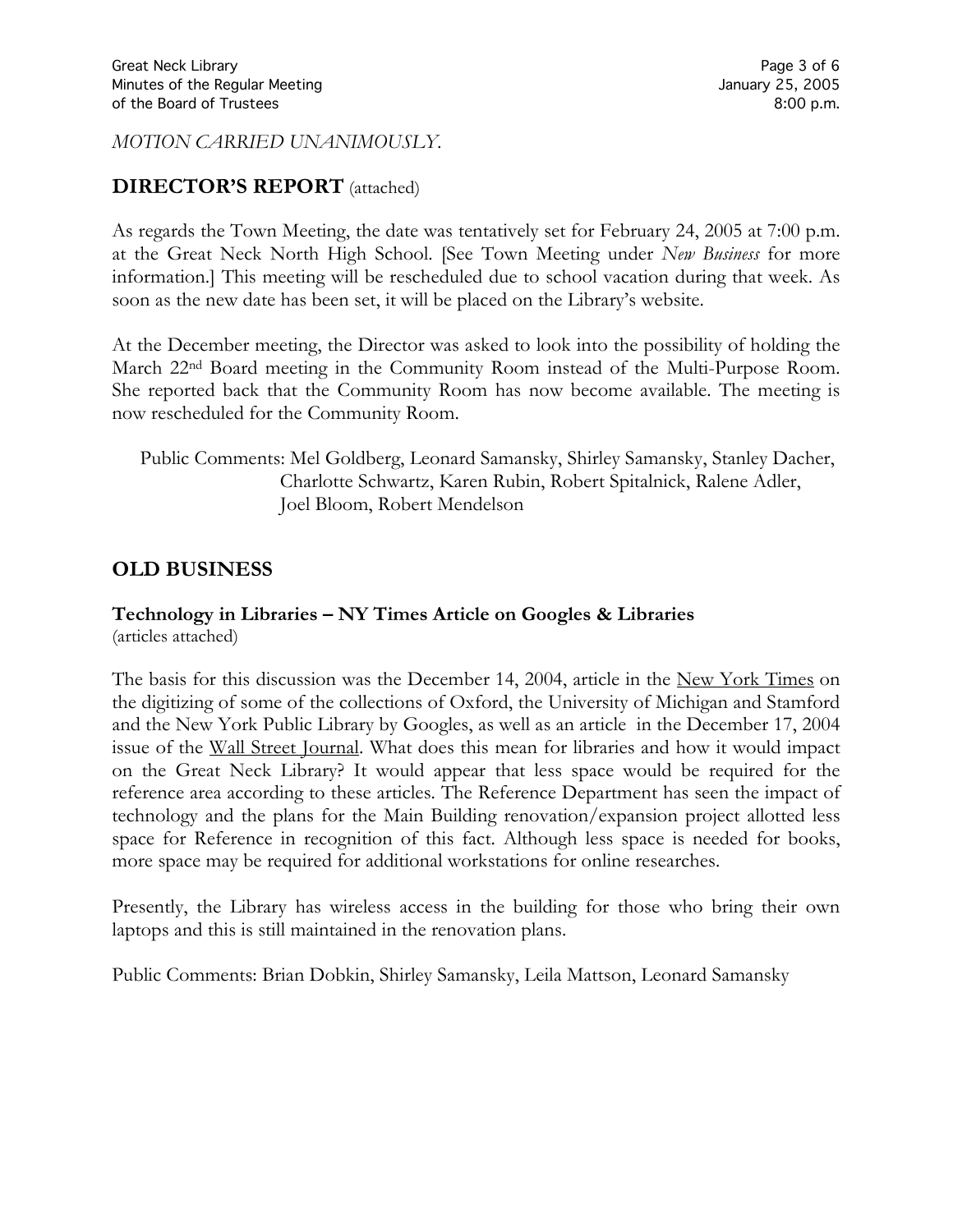*MOTION CARRIED UNANIMOUSLY.*

## **DIRECTOR'S REPORT** (attached)

As regards the Town Meeting, the date was tentatively set for February 24, 2005 at 7:00 p.m. at the Great Neck North High School. [See Town Meeting under *New Business* for more information.] This meeting will be rescheduled due to school vacation during that week. As soon as the new date has been set, it will be placed on the Library's website.

At the December meeting, the Director was asked to look into the possibility of holding the March 22nd Board meeting in the Community Room instead of the Multi-Purpose Room. She reported back that the Community Room has now become available. The meeting is now rescheduled for the Community Room.

Public Comments: Mel Goldberg, Leonard Samansky, Shirley Samansky, Stanley Dacher, Charlotte Schwartz, Karen Rubin, Robert Spitalnick, Ralene Adler, Joel Bloom, Robert Mendelson

## **OLD BUSINESS**

#### **Technology in Libraries – NY Times Article on Googles & Libraries** (articles attached)

The basis for this discussion was the December 14, 2004, article in the New York Times on the digitizing of some of the collections of Oxford, the University of Michigan and Stamford and the New York Public Library by Googles, as well as an article in the December 17, 2004 issue of the Wall Street Journal. What does this mean for libraries and how it would impact on the Great Neck Library? It would appear that less space would be required for the reference area according to these articles. The Reference Department has seen the impact of technology and the plans for the Main Building renovation/expansion project allotted less space for Reference in recognition of this fact. Although less space is needed for books, more space may be required for additional workstations for online researches.

Presently, the Library has wireless access in the building for those who bring their own laptops and this is still maintained in the renovation plans.

Public Comments: Brian Dobkin, Shirley Samansky, Leila Mattson, Leonard Samansky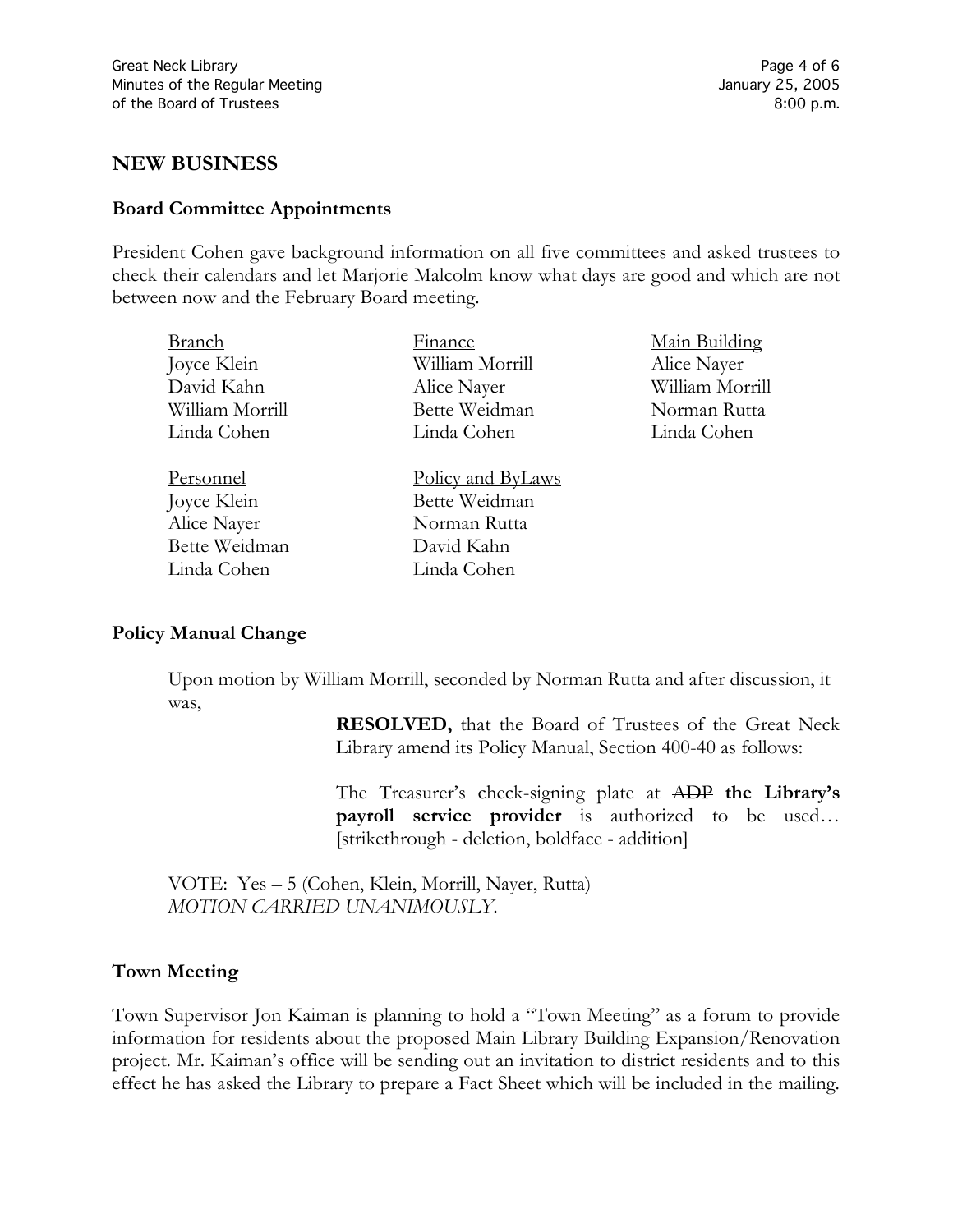## **NEW BUSINESS**

#### **Board Committee Appointments**

President Cohen gave background information on all five committees and asked trustees to check their calendars and let Marjorie Malcolm know what days are good and which are not between now and the February Board meeting.

| Branch          | Finance                  | Main Building   |
|-----------------|--------------------------|-----------------|
| Joyce Klein     | William Morrill          | Alice Nayer     |
| David Kahn      | Alice Nayer              | William Morrill |
| William Morrill | Bette Weidman            | Norman Rutta    |
| Linda Cohen     | Linda Cohen              | Linda Cohen     |
|                 |                          |                 |
| Personnel       | <u>Policy and ByLaws</u> |                 |
| Joyce Klein     | Bette Weidman            |                 |
| Alice Nayer     | Norman Rutta             |                 |
| Bette Weidman   | David Kahn               |                 |
| Linda Cohen     | Linda Cohen              |                 |

#### **Policy Manual Change**

Upon motion by William Morrill, seconded by Norman Rutta and after discussion, it was,

> **RESOLVED,** that the Board of Trustees of the Great Neck Library amend its Policy Manual, Section 400-40 as follows:

> The Treasurer's check-signing plate at ADP **the Library's payroll service provider** is authorized to be used… [strikethrough - deletion, boldface - addition]

VOTE:Yes – 5 (Cohen, Klein, Morrill, Nayer, Rutta) *MOTION CARRIED UNANIMOUSLY.*

### **Town Meeting**

Town Supervisor Jon Kaiman is planning to hold a "Town Meeting" as a forum to provide information for residents about the proposed Main Library Building Expansion/Renovation project. Mr. Kaiman's office will be sending out an invitation to district residents and to this effect he has asked the Library to prepare a Fact Sheet which will be included in the mailing.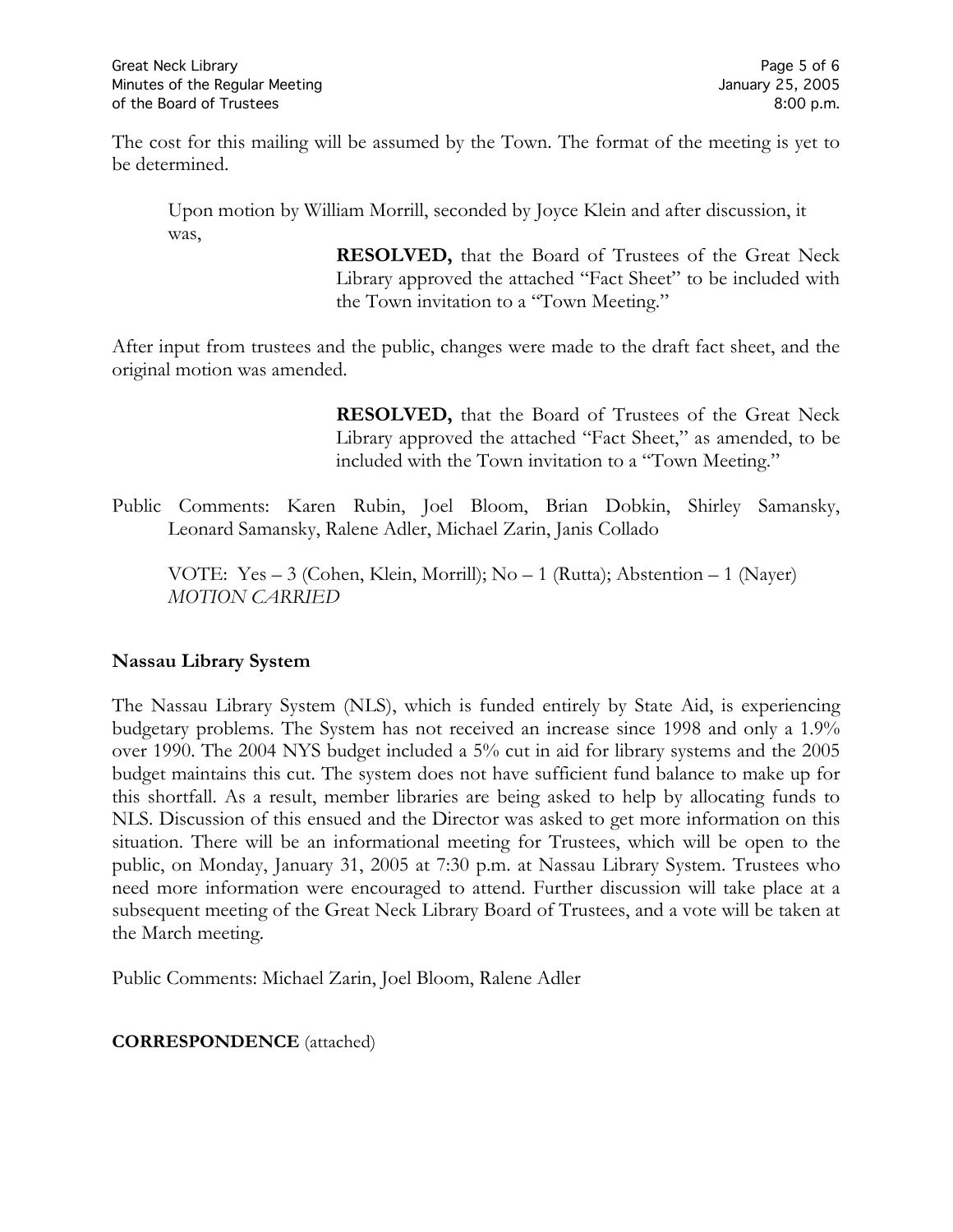The cost for this mailing will be assumed by the Town. The format of the meeting is yet to be determined.

Upon motion by William Morrill, seconded by Joyce Klein and after discussion, it was,

> **RESOLVED,** that the Board of Trustees of the Great Neck Library approved the attached "Fact Sheet" to be included with the Town invitation to a "Town Meeting."

After input from trustees and the public, changes were made to the draft fact sheet, and the original motion was amended.

> **RESOLVED,** that the Board of Trustees of the Great Neck Library approved the attached "Fact Sheet," as amended, to be included with the Town invitation to a "Town Meeting."

Public Comments: Karen Rubin, Joel Bloom, Brian Dobkin, Shirley Samansky, Leonard Samansky, Ralene Adler, Michael Zarin, Janis Collado

VOTE:Yes – 3 (Cohen, Klein, Morrill); No – 1 (Rutta); Abstention – 1 (Nayer) *MOTION CARRIED*

## **Nassau Library System**

The Nassau Library System (NLS), which is funded entirely by State Aid, is experiencing budgetary problems. The System has not received an increase since 1998 and only a 1.9% over 1990. The 2004 NYS budget included a 5% cut in aid for library systems and the 2005 budget maintains this cut. The system does not have sufficient fund balance to make up for this shortfall. As a result, member libraries are being asked to help by allocating funds to NLS. Discussion of this ensued and the Director was asked to get more information on this situation. There will be an informational meeting for Trustees, which will be open to the public, on Monday, January 31, 2005 at 7:30 p.m. at Nassau Library System. Trustees who need more information were encouraged to attend. Further discussion will take place at a subsequent meeting of the Great Neck Library Board of Trustees, and a vote will be taken at the March meeting.

Public Comments: Michael Zarin, Joel Bloom, Ralene Adler

### **CORRESPONDENCE** (attached)